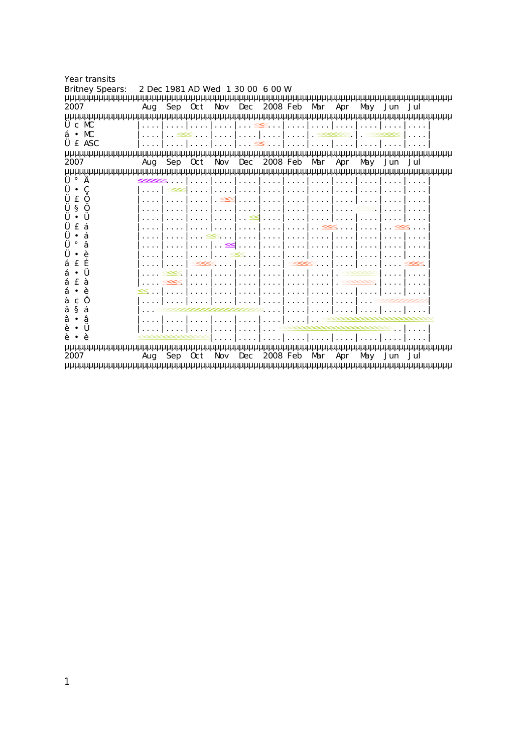| <b>Year transits</b>   |                                  |     |     |     |     |          |         |     |     |     |     |                 |
|------------------------|----------------------------------|-----|-----|-----|-----|----------|---------|-----|-----|-----|-----|-----------------|
| <b>Britney Spears:</b> | 2 Dec 1981 AD Wed 1 30 00 6 00 W |     |     |     |     |          |         |     |     |     |     |                 |
|                        |                                  |     |     |     |     |          |         |     |     |     |     |                 |
| 2007                   | Aug                              | Sep | 0ct | Nov | Dec | 2008 Feb |         | Mar | Apr | May | Jun | Jul             |
|                        |                                  |     |     |     |     |          |         |     |     |     |     | uuuuuuuuuuuuuuu |
| ¢<br>МC                |                                  |     |     |     |     |          |         |     |     |     |     |                 |
| ‡ ¥ MC                 |                                  |     |     |     |     |          |         |     |     |     |     |                 |
| £ ASC                  |                                  |     |     |     |     |          |         |     |     |     |     |                 |
|                        |                                  |     |     |     |     |          |         |     |     |     |     | uuu             |
| 2007                   | Aug                              | Sep | 0ct | Nov | Dec | 2008     | eb<br>F | Mar | Apr | May | Jun | Jul             |
| uuuuuuuuuuuuuuuuuuuuuu |                                  |     |     |     |     |          |         |     |     |     |     |                 |
|                        |                                  |     |     |     |     |          |         |     |     |     |     |                 |
| ¥                      |                                  |     |     |     |     |          |         |     |     |     |     |                 |
|                        |                                  |     |     |     |     |          |         |     |     |     |     |                 |
| 0                      |                                  |     |     |     |     |          |         |     |     |     |     |                 |
|                        |                                  |     |     |     |     |          |         |     |     |     |     |                 |
|                        |                                  |     |     |     |     |          |         |     |     |     |     |                 |
|                        |                                  |     |     |     |     |          |         |     |     |     |     |                 |
|                        |                                  |     |     |     |     |          |         |     |     |     |     |                 |
|                        |                                  |     |     |     |     |          |         |     |     |     |     |                 |
|                        |                                  |     |     |     |     |          |         |     |     |     |     |                 |
| ¥                      |                                  |     |     |     |     |          |         |     |     |     |     |                 |
|                        |                                  |     |     |     |     |          |         |     |     |     |     |                 |
|                        |                                  |     |     |     |     |          |         |     |     |     |     |                 |
| ⋔                      |                                  |     |     |     |     |          |         |     |     |     |     |                 |
| $\%$<br>$\alpha$       |                                  |     |     |     |     |          |         |     |     |     |     |                 |
| ¥                      |                                  |     |     |     |     |          |         |     |     |     |     |                 |
|                        |                                  |     |     |     |     |          |         |     |     |     |     |                 |
|                        |                                  |     |     |     |     |          |         |     |     |     |     |                 |
| IUUUUU<br>μμμ          |                                  |     |     |     |     |          |         |     |     |     |     |                 |
| 2007                   | Aug                              | Sep | 0ct | Nov | Dec | 2008 Feb |         | Mar | Apr | May | Jun | Jul             |

µµµµµµµµµµµµµµµµµµµµµµµµµµµµµµµµµµµµµµµµµµµµµµµµµµµµµµµµµµµµµµµµµµµµµµµµµµµµµµµµ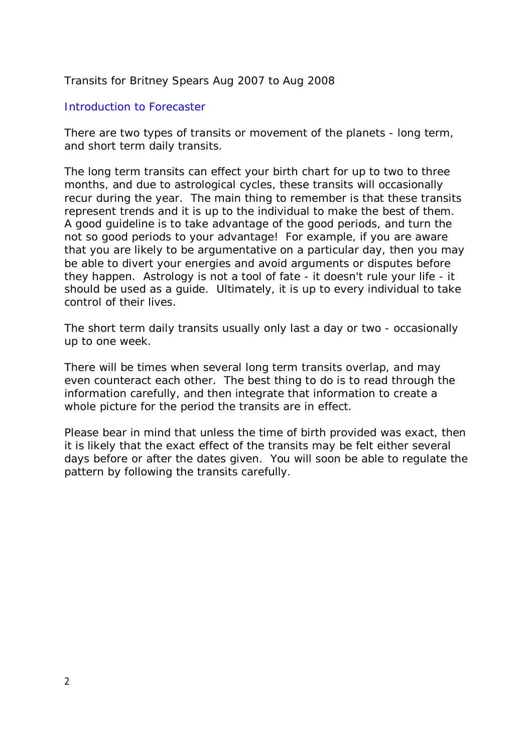## Transits for Britney Spears Aug 2007 to Aug 2008

# *Introduction to Forecaster*

There are two types of transits or movement of the planets - long term, and short term daily transits.

The long term transits can effect your birth chart for up to two to three months, and due to astrological cycles, these transits will occasionally recur during the year. The main thing to remember is that these transits represent trends and it is up to the individual to make the best of them. A good guideline is to take advantage of the good periods, and turn the not so good periods to your advantage! For example, if you are aware that you are likely to be argumentative on a particular day, then you may be able to divert your energies and avoid arguments or disputes before they happen. Astrology is not a tool of fate - it doesn't rule your life - it should be used as a guide. Ultimately, it is up to every individual to take control of their lives.

The short term daily transits usually only last a day or two - occasionally up to one week.

There will be times when several long term transits overlap, and may even counteract each other. The best thing to do is to read through the information carefully, and then integrate that information to create a whole picture for the period the transits are in effect.

Please bear in mind that unless the time of birth provided was exact, then it is likely that the exact effect of the transits may be felt either several days before or after the dates given. You will soon be able to regulate the pattern by following the transits carefully.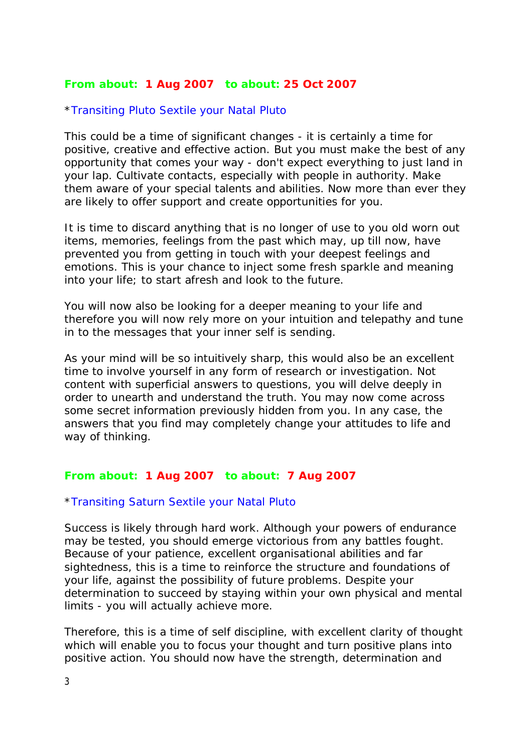## **From about: 1 Aug 2007 to about: 25 Oct 2007**

### \**Transiting Pluto Sextile your Natal Pluto*

This could be a time of significant changes - it is certainly a time for positive, creative and effective action. But you must make the best of any opportunity that comes your way - don't expect everything to just land in your lap. Cultivate contacts, especially with people in authority. Make them aware of your special talents and abilities. Now more than ever they are likely to offer support and create opportunities for you.

It is time to discard anything that is no longer of use to you old worn out items, memories, feelings from the past which may, up till now, have prevented you from getting in touch with your deepest feelings and emotions. This is your chance to inject some fresh sparkle and meaning into your life; to start afresh and look to the future.

You will now also be looking for a deeper meaning to your life and therefore you will now rely more on your intuition and telepathy and tune in to the messages that your inner self is sending.

As your mind will be so intuitively sharp, this would also be an excellent time to involve yourself in any form of research or investigation. Not content with superficial answers to questions, you will delve deeply in order to unearth and understand the truth. You may now come across some secret information previously hidden from you. In any case, the answers that you find may completely change your attitudes to life and way of thinking.

# **From about: 1 Aug 2007 to about: 7 Aug 2007**

#### \**Transiting Saturn Sextile your Natal Pluto*

Success is likely through hard work. Although your powers of endurance may be tested, you should emerge victorious from any battles fought. Because of your patience, excellent organisational abilities and far sightedness, this is a time to reinforce the structure and foundations of your life, against the possibility of future problems. Despite your determination to succeed by staying within your own physical and mental limits - you will actually achieve more.

Therefore, this is a time of self discipline, with excellent clarity of thought which will enable you to focus your thought and turn positive plans into positive action. You should now have the strength, determination and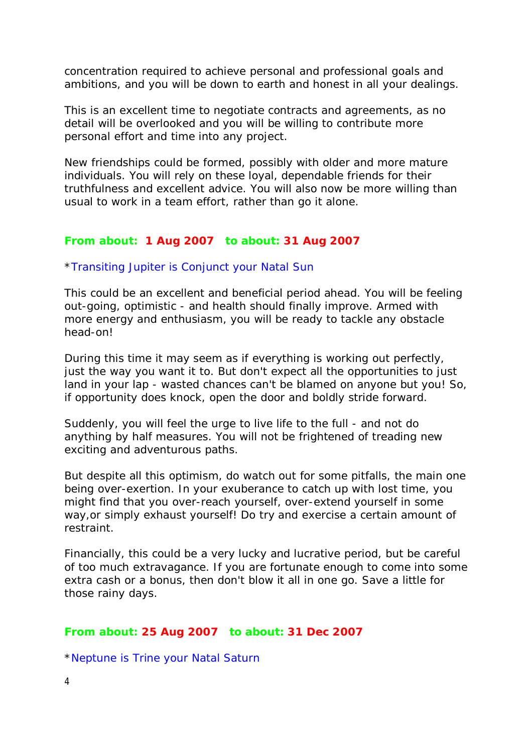concentration required to achieve personal and professional goals and ambitions, and you will be down to earth and honest in all your dealings.

This is an excellent time to negotiate contracts and agreements, as no detail will be overlooked and you will be willing to contribute more personal effort and time into any project.

New friendships could be formed, possibly with older and more mature individuals. You will rely on these loyal, dependable friends for their truthfulness and excellent advice. You will also now be more willing than usual to work in a team effort, rather than go it alone.

### **From about: 1 Aug 2007 to about: 31 Aug 2007**

#### \**Transiting Jupiter is Conjunct your Natal Sun*

This could be an excellent and beneficial period ahead. You will be feeling out-going, optimistic - and health should finally improve. Armed with more energy and enthusiasm, you will be ready to tackle any obstacle head-on!

During this time it may seem as if everything is working out perfectly, just the way you want it to. But don't expect all the opportunities to just land in your lap - wasted chances can't be blamed on anyone but you! So, if opportunity does knock, open the door and boldly stride forward.

Suddenly, you will feel the urge to live life to the full - and not do anything by half measures. You will not be frightened of treading new exciting and adventurous paths.

But despite all this optimism, do watch out for some pitfalls, the main one being over-exertion. In your exuberance to catch up with lost time, you might find that you over-reach yourself, over-extend yourself in some way, or simply exhaust yourself! Do try and exercise a certain amount of restraint.

Financially, this could be a very lucky and lucrative period, but be careful of too much extravagance. If you are fortunate enough to come into some extra cash or a bonus, then don't blow it all in one go. Save a little for those rainy days.

#### **From about: 25 Aug 2007 to about: 31 Dec 2007**

\**Neptune is Trine your Natal Saturn*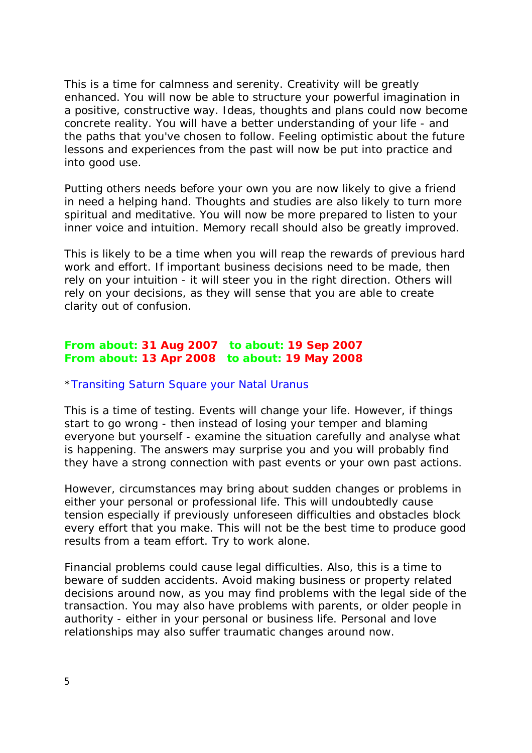This is a time for calmness and serenity. Creativity will be greatly enhanced. You will now be able to structure your powerful imagination in a positive, constructive way. Ideas, thoughts and plans could now become concrete reality. You will have a better understanding of your life - and the paths that you've chosen to follow. Feeling optimistic about the future lessons and experiences from the past will now be put into practice and into good use.

Putting others needs before your own you are now likely to give a friend in need a helping hand. Thoughts and studies are also likely to turn more spiritual and meditative. You will now be more prepared to listen to your inner voice and intuition. Memory recall should also be greatly improved.

This is likely to be a time when you will reap the rewards of previous hard work and effort. If important business decisions need to be made, then rely on your intuition - it will steer you in the right direction. Others will rely on your decisions, as they will sense that you are able to create clarity out of confusion.

# **From about: 31 Aug 2007 to about: 19 Sep 2007 From about: 13 Apr 2008 to about: 19 May 2008**

### \**Transiting Saturn Square your Natal Uranus*

This is a time of testing. Events will change your life. However, if things start to go wrong - then instead of losing your temper and blaming everyone but yourself - examine the situation carefully and analyse what is happening. The answers may surprise you and you will probably find they have a strong connection with past events or your own past actions.

However, circumstances may bring about sudden changes or problems in either your personal or professional life. This will undoubtedly cause tension especially if previously unforeseen difficulties and obstacles block every effort that you make. This will not be the best time to produce good results from a team effort. Try to work alone.

Financial problems could cause legal difficulties. Also, this is a time to beware of sudden accidents. Avoid making business or property related decisions around now, as you may find problems with the legal side of the transaction. You may also have problems with parents, or older people in authority - either in your personal or business life. Personal and love relationships may also suffer traumatic changes around now.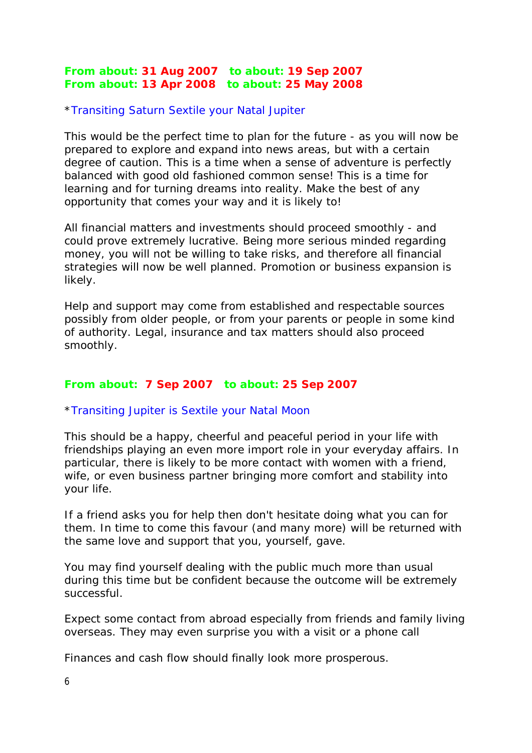# **From about: 31 Aug 2007 to about: 19 Sep 2007 From about: 13 Apr 2008 to about: 25 May 2008**

### \**Transiting Saturn Sextile your Natal Jupiter*

This would be the perfect time to plan for the future - as you will now be prepared to explore and expand into news areas, but with a certain degree of caution. This is a time when a sense of adventure is perfectly balanced with good old fashioned common sense! This is a time for learning and for turning dreams into reality. Make the best of any opportunity that comes your way and it is likely to!

All financial matters and investments should proceed smoothly - and could prove extremely lucrative. Being more serious minded regarding money, you will not be willing to take risks, and therefore all financial strategies will now be well planned. Promotion or business expansion is likely.

Help and support may come from established and respectable sources possibly from older people, or from your parents or people in some kind of authority. Legal, insurance and tax matters should also proceed smoothly.

### **From about: 7 Sep 2007 to about: 25 Sep 2007**

### \**Transiting Jupiter is Sextile your Natal Moon*

This should be a happy, cheerful and peaceful period in your life with friendships playing an even more import role in your everyday affairs. In particular, there is likely to be more contact with women with a friend, wife, or even business partner bringing more comfort and stability into your life.

If a friend asks you for help then don't hesitate doing what you can for them. In time to come this favour (and many more) will be returned with the same love and support that you, yourself, gave.

You may find yourself dealing with the public much more than usual during this time but be confident because the outcome will be extremely successful.

Expect some contact from abroad especially from friends and family living overseas. They may even surprise you with a visit or a phone call

Finances and cash flow should finally look more prosperous.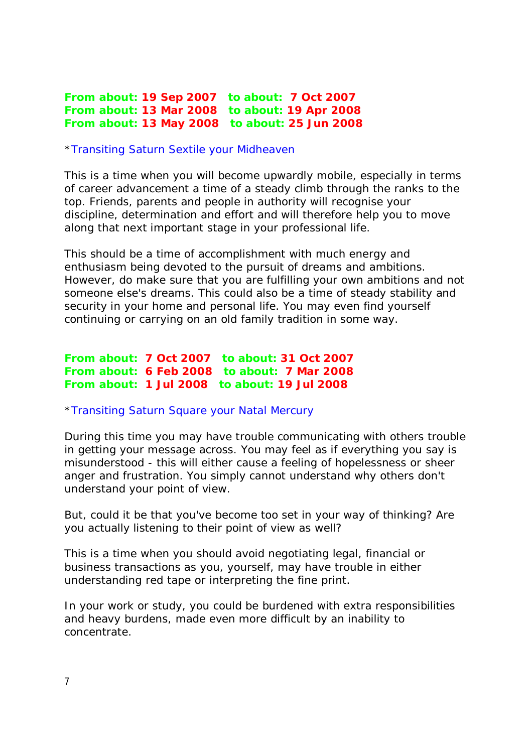**From about: 19 Sep 2007 to about: 7 Oct 2007 From about: 13 Mar 2008 to about: 19 Apr 2008 From about: 13 May 2008 to about: 25 Jun 2008**

#### \**Transiting Saturn Sextile your Midheaven*

This is a time when you will become upwardly mobile, especially in terms of career advancement a time of a steady climb through the ranks to the top. Friends, parents and people in authority will recognise your discipline, determination and effort and will therefore help you to move along that next important stage in your professional life.

This should be a time of accomplishment with much energy and enthusiasm being devoted to the pursuit of dreams and ambitions. However, do make sure that you are fulfilling your own ambitions and not someone else's dreams. This could also be a time of steady stability and security in your home and personal life. You may even find yourself continuing or carrying on an old family tradition in some way.

**From about: 7 Oct 2007 to about: 31 Oct 2007 From about: 6 Feb 2008 to about: 7 Mar 2008 From about: 1 Jul 2008 to about: 19 Jul 2008**

#### \**Transiting Saturn Square your Natal Mercury*

During this time you may have trouble communicating with others trouble in getting your message across. You may feel as if everything you say is misunderstood - this will either cause a feeling of hopelessness or sheer anger and frustration. You simply cannot understand why others don't understand your point of view.

But, could it be that you've become too set in your way of thinking? Are you actually listening to their point of view as well?

This is a time when you should avoid negotiating legal, financial or business transactions as you, yourself, may have trouble in either understanding red tape or interpreting the fine print.

In your work or study, you could be burdened with extra responsibilities and heavy burdens, made even more difficult by an inability to concentrate.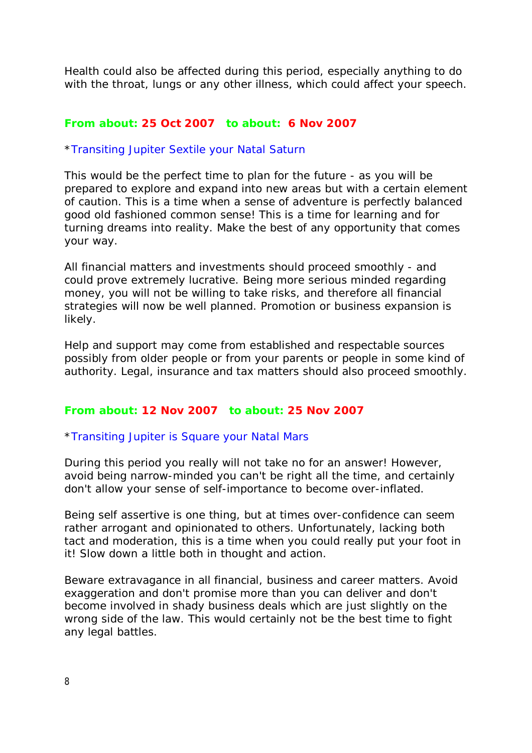Health could also be affected during this period, especially anything to do with the throat, lungs or any other illness, which could affect your speech.

### **From about: 25 Oct 2007 to about: 6 Nov 2007**

#### \**Transiting Jupiter Sextile your Natal Saturn*

This would be the perfect time to plan for the future - as you will be prepared to explore and expand into new areas but with a certain element of caution. This is a time when a sense of adventure is perfectly balanced good old fashioned common sense! This is a time for learning and for turning dreams into reality. Make the best of any opportunity that comes your way.

All financial matters and investments should proceed smoothly - and could prove extremely lucrative. Being more serious minded regarding money, you will not be willing to take risks, and therefore all financial strategies will now be well planned. Promotion or business expansion is likely.

Help and support may come from established and respectable sources possibly from older people or from your parents or people in some kind of authority. Legal, insurance and tax matters should also proceed smoothly.

### **From about: 12 Nov 2007 to about: 25 Nov 2007**

#### \**Transiting Jupiter is Square your Natal Mars*

During this period you really will not take no for an answer! However, avoid being narrow-minded you can't be right all the time, and certainly don't allow your sense of self-importance to become over-inflated.

Being self assertive is one thing, but at times over-confidence can seem rather arrogant and opinionated to others. Unfortunately, lacking both tact and moderation, this is a time when you could really put your foot in it! Slow down a little both in thought and action.

Beware extravagance in all financial, business and career matters. Avoid exaggeration and don't promise more than you can deliver and don't become involved in shady business deals which are just slightly on the wrong side of the law. This would certainly not be the best time to fight any legal battles.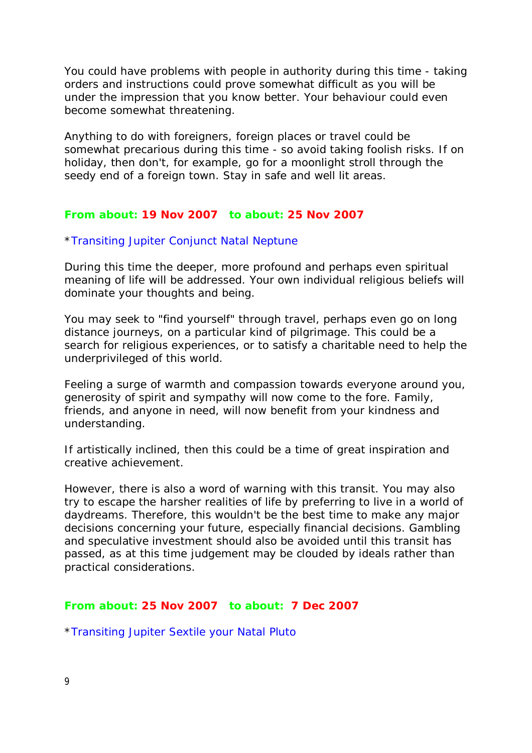You could have problems with people in authority during this time - taking orders and instructions could prove somewhat difficult as you will be under the impression that you know better. Your behaviour could even become somewhat threatening.

Anything to do with foreigners, foreign places or travel could be somewhat precarious during this time - so avoid taking foolish risks. If on holiday, then don't, for example, go for a moonlight stroll through the seedy end of a foreign town. Stay in safe and well lit areas.

### **From about: 19 Nov 2007 to about: 25 Nov 2007**

#### \**Transiting Jupiter Conjunct Natal Neptune*

During this time the deeper, more profound and perhaps even spiritual meaning of life will be addressed. Your own individual religious beliefs will dominate your thoughts and being.

You may seek to "find yourself" through travel, perhaps even go on long distance journeys, on a particular kind of pilgrimage. This could be a search for religious experiences, or to satisfy a charitable need to help the underprivileged of this world.

Feeling a surge of warmth and compassion towards everyone around you, generosity of spirit and sympathy will now come to the fore. Family, friends, and anyone in need, will now benefit from your kindness and understanding.

If artistically inclined, then this could be a time of great inspiration and creative achievement.

However, there is also a word of warning with this transit. You may also try to escape the harsher realities of life by preferring to live in a world of daydreams. Therefore, this wouldn't be the best time to make any major decisions concerning your future, especially financial decisions. Gambling and speculative investment should also be avoided until this transit has passed, as at this time judgement may be clouded by ideals rather than practical considerations.

#### **From about: 25 Nov 2007 to about: 7 Dec 2007**

\**Transiting Jupiter Sextile your Natal Pluto*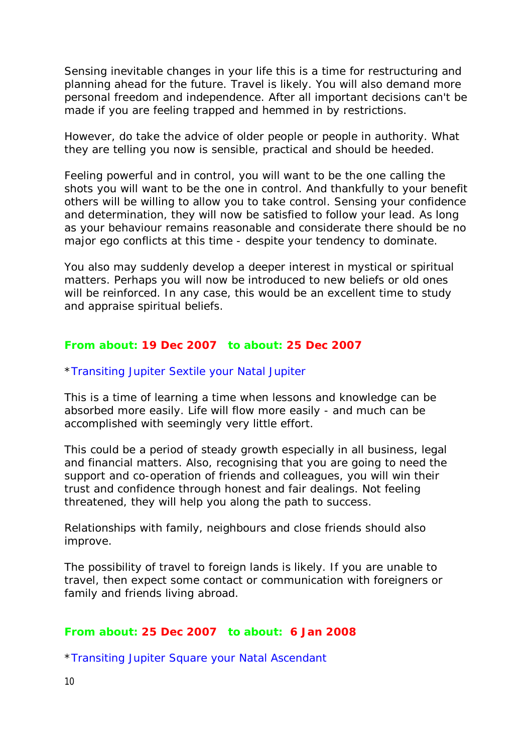Sensing inevitable changes in your life this is a time for restructuring and planning ahead for the future. Travel is likely. You will also demand more personal freedom and independence. After all important decisions can't be made if you are feeling trapped and hemmed in by restrictions.

However, do take the advice of older people or people in authority. What they are telling you now is sensible, practical and should be heeded.

Feeling powerful and in control, you will want to be the one calling the shots you will want to be the one in control. And thankfully to your benefit others will be willing to allow you to take control. Sensing your confidence and determination, they will now be satisfied to follow your lead. As long as your behaviour remains reasonable and considerate there should be no major ego conflicts at this time - despite your tendency to dominate.

You also may suddenly develop a deeper interest in mystical or spiritual matters. Perhaps you will now be introduced to new beliefs or old ones will be reinforced. In any case, this would be an excellent time to study and appraise spiritual beliefs.

#### **From about: 19 Dec 2007 to about: 25 Dec 2007**

#### \**Transiting Jupiter Sextile your Natal Jupiter*

This is a time of learning a time when lessons and knowledge can be absorbed more easily. Life will flow more easily - and much can be accomplished with seemingly very little effort.

This could be a period of steady growth especially in all business, legal and financial matters. Also, recognising that you are going to need the support and co-operation of friends and colleagues, you will win their trust and confidence through honest and fair dealings. Not feeling threatened, they will help you along the path to success.

Relationships with family, neighbours and close friends should also improve.

The possibility of travel to foreign lands is likely. If you are unable to travel, then expect some contact or communication with foreigners or family and friends living abroad.

#### **From about: 25 Dec 2007 to about: 6 Jan 2008**

\**Transiting Jupiter Square your Natal Ascendant*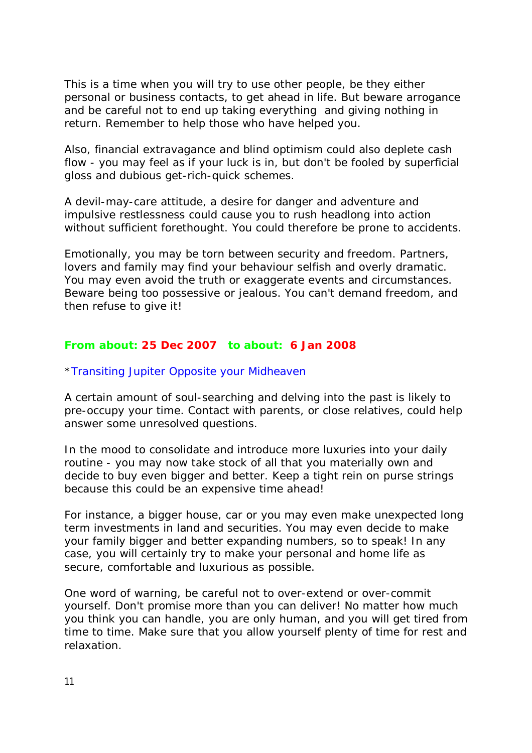This is a time when you will try to use other people, be they either personal or business contacts, to get ahead in life. But beware arrogance and be careful not to end up taking everything and giving nothing in return. Remember to help those who have helped you.

Also, financial extravagance and blind optimism could also deplete cash flow - you may feel as if your luck is in, but don't be fooled by superficial gloss and dubious get-rich-quick schemes.

A devil-may-care attitude, a desire for danger and adventure and impulsive restlessness could cause you to rush headlong into action without sufficient forethought. You could therefore be prone to accidents.

Emotionally, you may be torn between security and freedom. Partners, lovers and family may find your behaviour selfish and overly dramatic. You may even avoid the truth or exaggerate events and circumstances. Beware being too possessive or jealous. You can't demand freedom, and then refuse to give it!

# **From about: 25 Dec 2007 to about: 6 Jan 2008**

# \**Transiting Jupiter Opposite your Midheaven*

A certain amount of soul-searching and delving into the past is likely to pre-occupy your time. Contact with parents, or close relatives, could help answer some unresolved questions.

In the mood to consolidate and introduce more luxuries into your daily routine - you may now take stock of all that you materially own and decide to buy even bigger and better. Keep a tight rein on purse strings because this could be an expensive time ahead!

For instance, a bigger house, car or you may even make unexpected long term investments in land and securities. You may even decide to make your family bigger and better expanding numbers, so to speak! In any case, you will certainly try to make your personal and home life as secure, comfortable and luxurious as possible.

One word of warning, be careful not to over-extend or over-commit yourself. Don't promise more than you can deliver! No matter how much you think you can handle, you are only human, and you will get tired from time to time. Make sure that you allow yourself plenty of time for rest and relaxation.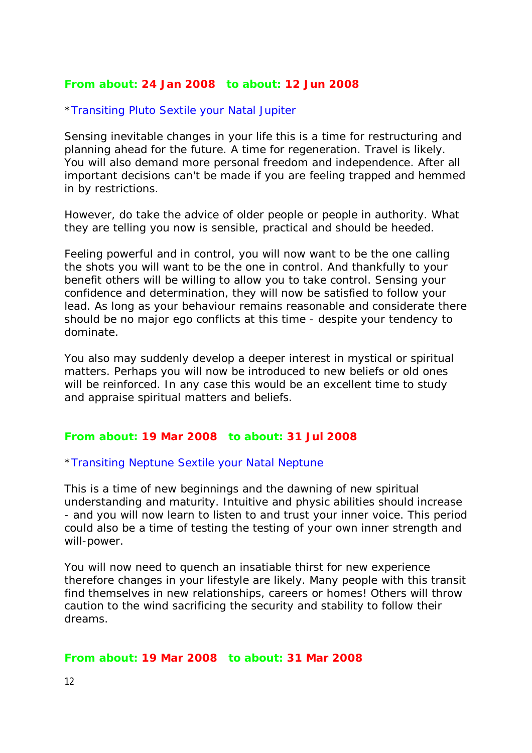# **From about: 24 Jan 2008 to about: 12 Jun 2008**

# \**Transiting Pluto Sextile your Natal Jupiter*

Sensing inevitable changes in your life this is a time for restructuring and planning ahead for the future. A time for regeneration. Travel is likely. You will also demand more personal freedom and independence. After all important decisions can't be made if you are feeling trapped and hemmed in by restrictions.

However, do take the advice of older people or people in authority. What they are telling you now is sensible, practical and should be heeded.

Feeling powerful and in control, you will now want to be the one calling the shots you will want to be the one in control. And thankfully to your benefit others will be willing to allow you to take control. Sensing your confidence and determination, they will now be satisfied to follow your lead. As long as your behaviour remains reasonable and considerate there should be no major ego conflicts at this time - despite your tendency to dominate.

You also may suddenly develop a deeper interest in mystical or spiritual matters. Perhaps you will now be introduced to new beliefs or old ones will be reinforced. In any case this would be an excellent time to study and appraise spiritual matters and beliefs.

## **From about: 19 Mar 2008 to about: 31 Jul 2008**

#### \**Transiting Neptune Sextile your Natal Neptune*

This is a time of new beginnings and the dawning of new spiritual understanding and maturity. Intuitive and physic abilities should increase - and you will now learn to listen to and trust your inner voice. This period could also be a time of testing the testing of your own inner strength and will-power.

You will now need to quench an insatiable thirst for new experience therefore changes in your lifestyle are likely. Many people with this transit find themselves in new relationships, careers or homes! Others will throw caution to the wind sacrificing the security and stability to follow their dreams.

#### **From about: 19 Mar 2008 to about: 31 Mar 2008**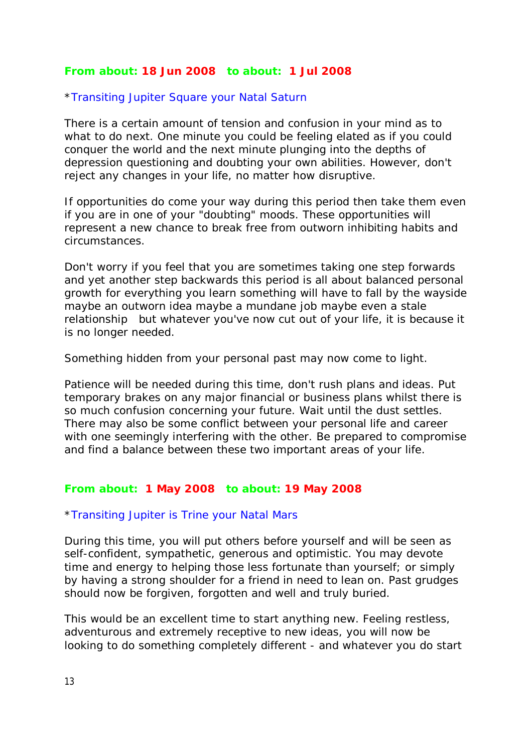# **From about: 18 Jun 2008 to about: 1 Jul 2008**

### \**Transiting Jupiter Square your Natal Saturn*

There is a certain amount of tension and confusion in your mind as to what to do next. One minute you could be feeling elated as if you could conquer the world and the next minute plunging into the depths of depression questioning and doubting your own abilities. However, don't reject any changes in your life, no matter how disruptive.

If opportunities do come your way during this period then take them even if you are in one of your "doubting" moods. These opportunities will represent a new chance to break free from outworn inhibiting habits and circumstances.

Don't worry if you feel that you are sometimes taking one step forwards and yet another step backwards this period is all about balanced personal growth for everything you learn something will have to fall by the wayside maybe an outworn idea maybe a mundane job maybe even a stale relationship but whatever you've now cut out of your life, it is because it is no longer needed.

Something hidden from your personal past may now come to light.

Patience will be needed during this time, don't rush plans and ideas. Put temporary brakes on any major financial or business plans whilst there is so much confusion concerning your future. Wait until the dust settles. There may also be some conflict between your personal life and career with one seemingly interfering with the other. Be prepared to compromise and find a balance between these two important areas of your life.

### **From about: 1 May 2008 to about: 19 May 2008**

#### \**Transiting Jupiter is Trine your Natal Mars*

During this time, you will put others before yourself and will be seen as self-confident, sympathetic, generous and optimistic. You may devote time and energy to helping those less fortunate than yourself; or simply by having a strong shoulder for a friend in need to lean on. Past grudges should now be forgiven, forgotten and well and truly buried.

This would be an excellent time to start anything new. Feeling restless, adventurous and extremely receptive to new ideas, you will now be looking to do something completely different - and whatever you do start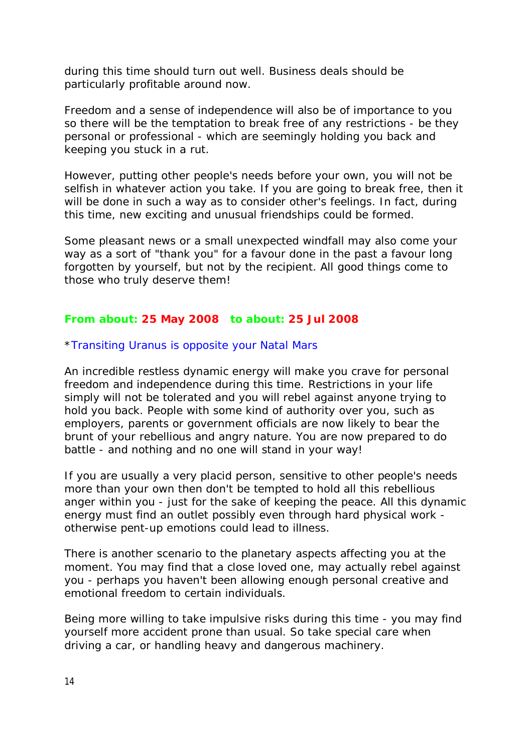during this time should turn out well. Business deals should be particularly profitable around now.

Freedom and a sense of independence will also be of importance to you so there will be the temptation to break free of any restrictions - be they personal or professional - which are seemingly holding you back and keeping you stuck in a rut.

However, putting other people's needs before your own, you will not be selfish in whatever action you take. If you are going to break free, then it will be done in such a way as to consider other's feelings. In fact, during this time, new exciting and unusual friendships could be formed.

Some pleasant news or a small unexpected windfall may also come your way as a sort of "thank you" for a favour done in the past a favour long forgotten by yourself, but not by the recipient. All good things come to those who truly deserve them!

# **From about: 25 May 2008 to about: 25 Jul 2008**

### \**Transiting Uranus is opposite your Natal Mars*

An incredible restless dynamic energy will make you crave for personal freedom and independence during this time. Restrictions in your life simply will not be tolerated and you will rebel against anyone trying to hold you back. People with some kind of authority over you, such as employers, parents or government officials are now likely to bear the brunt of your rebellious and angry nature. You are now prepared to do battle - and nothing and no one will stand in your way!

If you are usually a very placid person, sensitive to other people's needs more than your own then don't be tempted to hold all this rebellious anger within you - just for the sake of keeping the peace. All this dynamic energy must find an outlet possibly even through hard physical work otherwise pent-up emotions could lead to illness.

There is another scenario to the planetary aspects affecting you at the moment. You may find that a close loved one, may actually rebel against you - perhaps you haven't been allowing enough personal creative and emotional freedom to certain individuals.

Being more willing to take impulsive risks during this time - you may find yourself more accident prone than usual. So take special care when driving a car, or handling heavy and dangerous machinery.